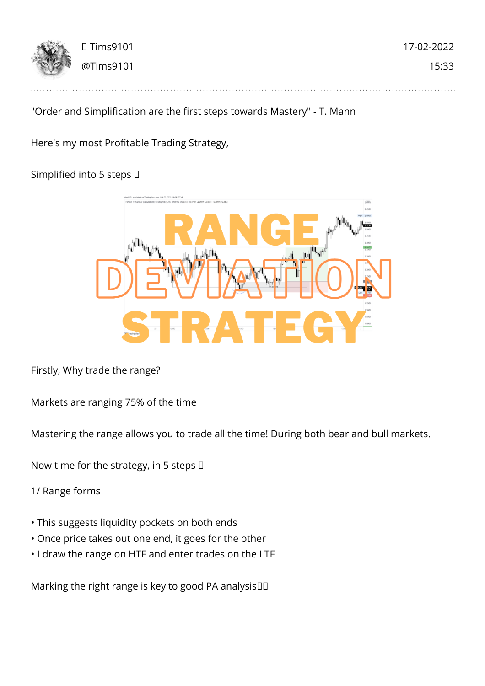

# "Order and Simplification are the first steps towards Mastery" - T. Mann

Here's my most Profitable Trading Strategy,

## Simplified into 5 steps  $\Box$



Firstly, Why trade the range?

Markets are ranging 75% of the time

Mastering the range allows you to trade all the time! During both bear and bull markets.

Now time for the strategy, in 5 steps  $\Box$ 

1/ Range forms

- This suggests liquidity pockets on both ends
- Once price takes out one end, it goes for the other
- I draw the range on HTF and enter trades on the LTF

Marking the right range is key to good PA analysis $\square$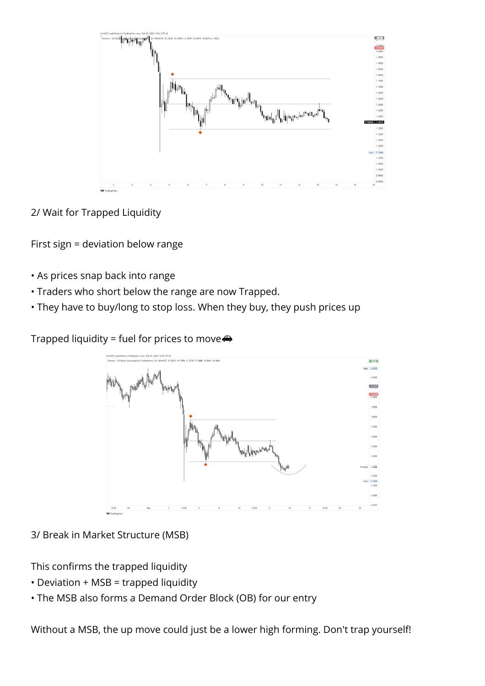

2/ Wait for Trapped Liquidity

First sign = deviation below range

- As prices snap back into range
- Traders who short below the range are now Trapped.
- They have to buy/long to stop loss. When they buy, they push prices up

Trapped liquidity = fuel for prices to move $\clubsuit$ 



3/ Break in Market Structure (MSB)

This confirms the trapped liquidity

- Deviation + MSB = trapped liquidity
- The MSB also forms a Demand Order Block (OB) for our entry

Without a MSB, the up move could just be a lower high forming. Don't trap yourself!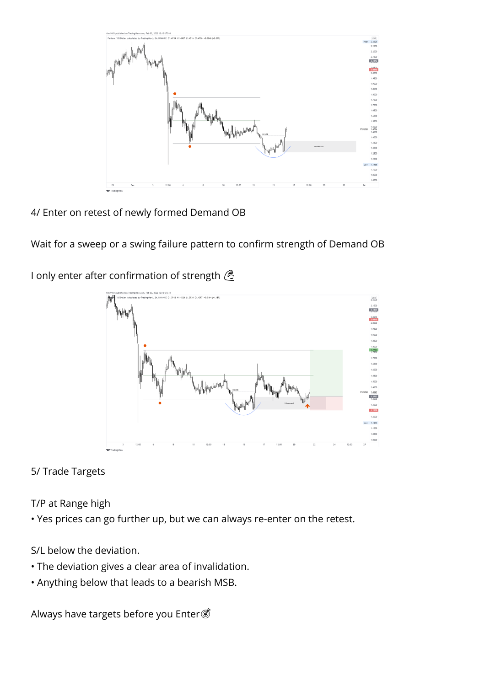

4/ Enter on retest of newly formed Demand OB

Wait for a sweep or a swing failure pattern to confirm strength of Demand OB

I only enter after confirmation of strength <sup><</sup>



5/ Trade Targets

T/P at Range high

• Yes prices can go further up, but we can always re-enter on the retest.

S/L below the deviation.

- The deviation gives a clear area of invalidation.
- Anything below that leads to a bearish MSB.

Always have targets before you Enter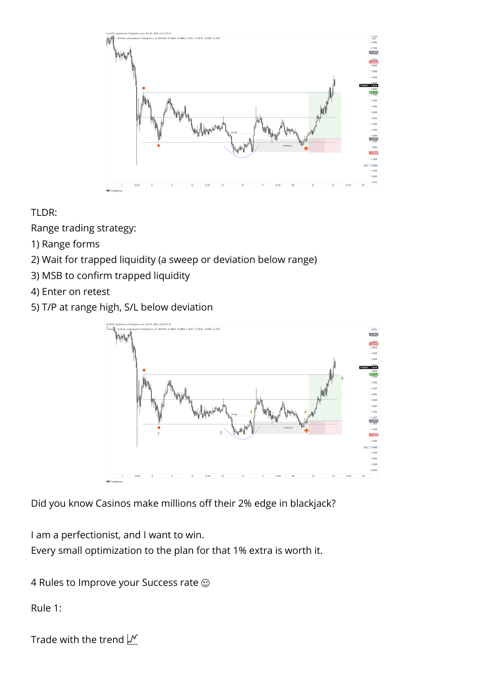

TLDR:

Range trading strategy:

- 1) Range forms
- 2) Wait for trapped liquidity (a sweep or deviation below range)
- 3) MSB to confirm trapped liquidity
- 4) Enter on retest
- 5) T/P at range high, S/L below deviation



Did you know Casinos make millions off their 2% edge in blackjack?

I am a perfectionist, and I want to win.

Every small optimization to the plan for that 1% extra is worth it.

4 Rules to Improve your Success rate  $\odot$ 

Rule 1:

```
Trade with the trend \sqrt{M}
```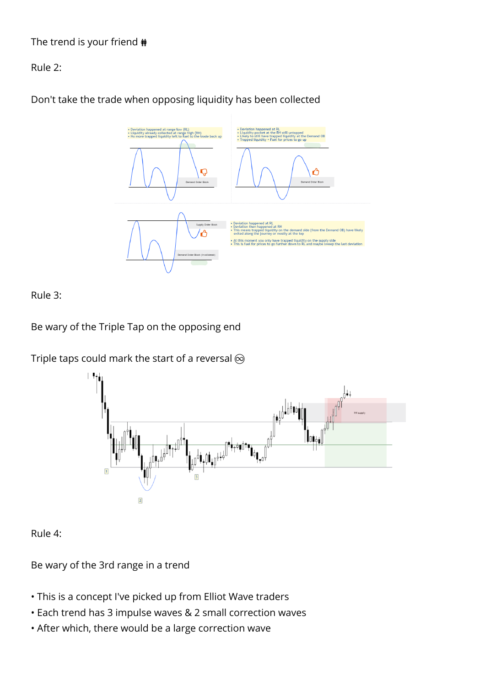# The trend is your friend  $\dot{\textbf{m}}$

### Rule 2:

Don't take the trade when opposing liquidity has been collected



### Rule 3:

Be wary of the Triple Tap on the opposing end

Triple taps could mark the start of a reversal  $\otimes$ 



Rule 4:

Be wary of the 3rd range in a trend

- This is a concept I've picked up from Elliot Wave traders
- Each trend has 3 impulse waves & 2 small correction waves
- After which, there would be a large correction wave